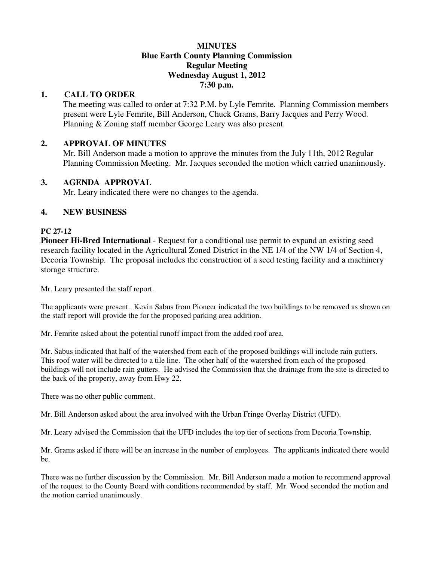#### **MINUTES Blue Earth County Planning Commission Regular Meeting Wednesday August 1, 2012 7:30 p.m.**

# **1. CALL TO ORDER**

The meeting was called to order at 7:32 P.M. by Lyle Femrite. Planning Commission members present were Lyle Femrite, Bill Anderson, Chuck Grams, Barry Jacques and Perry Wood. Planning & Zoning staff member George Leary was also present.

### **2. APPROVAL OF MINUTES**

Mr. Bill Anderson made a motion to approve the minutes from the July 11th, 2012 Regular Planning Commission Meeting. Mr. Jacques seconded the motion which carried unanimously.

#### **3. AGENDA APPROVAL**

Mr. Leary indicated there were no changes to the agenda.

#### **4. NEW BUSINESS**

#### **PC 27-12**

**Pioneer Hi-Bred International** - Request for a conditional use permit to expand an existing seed research facility located in the Agricultural Zoned District in the NE 1/4 of the NW 1/4 of Section 4, Decoria Township. The proposal includes the construction of a seed testing facility and a machinery storage structure.

Mr. Leary presented the staff report.

The applicants were present. Kevin Sabus from Pioneer indicated the two buildings to be removed as shown on the staff report will provide the for the proposed parking area addition.

Mr. Femrite asked about the potential runoff impact from the added roof area.

Mr. Sabus indicated that half of the watershed from each of the proposed buildings will include rain gutters. This roof water will be directed to a tile line. The other half of the watershed from each of the proposed buildings will not include rain gutters. He advised the Commission that the drainage from the site is directed to the back of the property, away from Hwy 22.

There was no other public comment.

Mr. Bill Anderson asked about the area involved with the Urban Fringe Overlay District (UFD).

Mr. Leary advised the Commission that the UFD includes the top tier of sections from Decoria Township.

Mr. Grams asked if there will be an increase in the number of employees. The applicants indicated there would be.

There was no further discussion by the Commission. Mr. Bill Anderson made a motion to recommend approval of the request to the County Board with conditions recommended by staff. Mr. Wood seconded the motion and the motion carried unanimously.